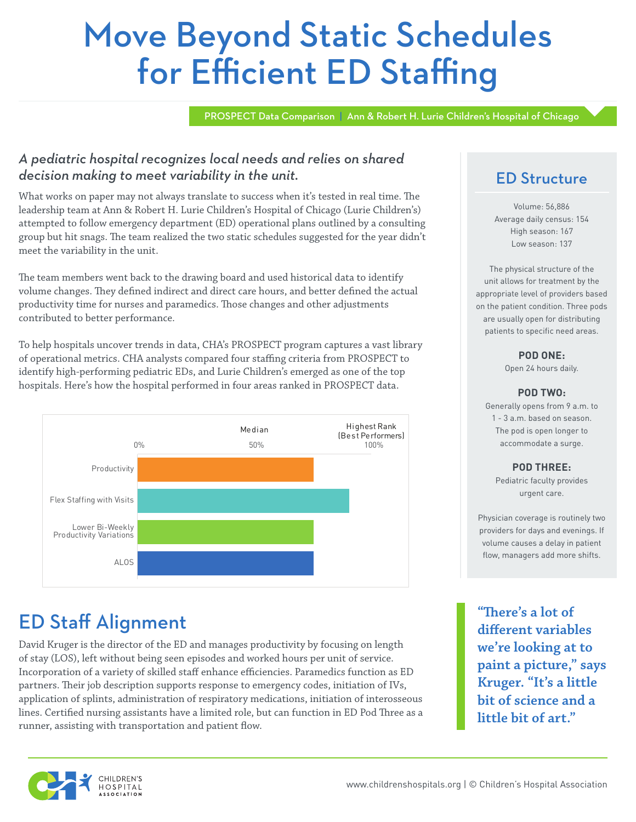# Move Beyond Static Schedules for Efficient ED Staffing

PROSPECT Data Comparison | Ann & Robert H. Lurie Children's Hospital of Chicago

### *A pediatric hospital recognizes local needs and relies on shared decision making to meet variability in the unit.*

What works on paper may not always translate to success when it's tested in real time. The leadership team at Ann & Robert H. Lurie Children's Hospital of Chicago (Lurie Children's) attempted to follow emergency department (ED) operational plans outlined by a consulting group but hit snags. The team realized the two static schedules suggested for the year didn't meet the variability in the unit.

The team members went back to the drawing board and used historical data to identify volume changes. They defined indirect and direct care hours, and better defined the actual productivity time for nurses and paramedics. Those changes and other adjustments contributed to better performance.

To help hospitals uncover trends in data, CHA's PROSPECT program captures a vast library of operational metrics. CHA analysts compared four staffing criteria from PROSPECT to identify high-performing pediatric EDs, and Lurie Children's emerged as one of the top hospitals. Here's how the hospital performed in four areas ranked in PROSPECT data.



# ED Staff Alignment

David Kruger is the director of the ED and manages productivity by focusing on length of stay (LOS), left without being seen episodes and worked hours per unit of service. Incorporation of a variety of skilled staff enhance efficiencies. Paramedics function as ED partners. Their job description supports response to emergency codes, initiation of IVs, application of splints, administration of respiratory medications, initiation of interosseous lines. Certified nursing assistants have a limited role, but can function in ED Pod Three as a runner, assisting with transportation and patient flow.

### ED Structure

Volume: 56,886 Average daily census: 154 High season: 167 Low season: 137

The physical structure of the unit allows for treatment by the appropriate level of providers based on the patient condition. Three pods are usually open for distributing patients to specific need areas.

### **POD ONE:**

Open 24 hours daily.

### **POD TWO:**

Generally opens from 9 a.m. to 1 - 3 a.m. based on season. The pod is open longer to accommodate a surge.

### **POD THREE:**

Pediatric faculty provides urgent care.

Physician coverage is routinely two providers for days and evenings. If volume causes a delay in patient flow, managers add more shifts.

**"There's a lot of different variables we're looking at to paint a picture," says Kruger. "It's a little bit of science and a little bit of art."**